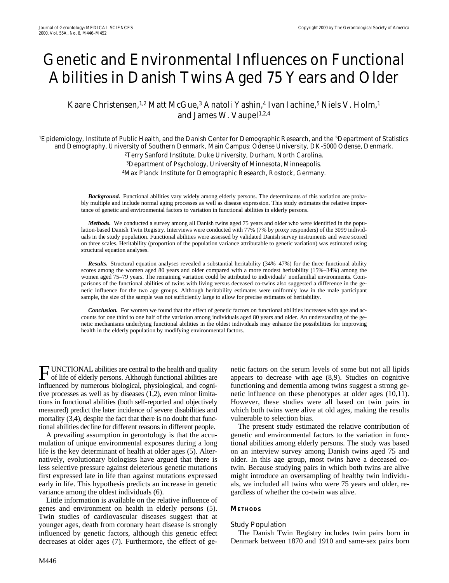# Genetic and Environmental Influences on Functional Abilities in Danish Twins Aged 75 Years and Older

Kaare Christensen,<sup>1,2</sup> Matt McGue,<sup>3</sup> Anatoli Yashin,<sup>4</sup> Ivan Iachine,<sup>5</sup> Niels V. Holm,<sup>1</sup> and James W. Vaupel<sup>1,2,4</sup>

<sup>1</sup>Epidemiology, Institute of Public Health, and the Danish Center for Demographic Research, and the <sup>5</sup>Department of Statistics and Demography, University of Southern Denmark, Main Campus: Odense University, DK-5000 Odense, Denmark. 2Terry Sanford Institute, Duke University, Durham, North Carolina.

3Department of Psychology, University of Minnesota, Minneapolis. 4Max Planck Institute for Demographic Research, Rostock, Germany.

*Background.* Functional abilities vary widely among elderly persons. The determinants of this variation are probably multiple and include normal aging processes as well as disease expression. This study estimates the relative importance of genetic and environmental factors to variation in functional abilities in elderly persons.

*Methods.* We conducted a survey among all Danish twins aged 75 years and older who were identified in the population-based Danish Twin Registry. Interviews were conducted with 77% (7% by proxy responders) of the 3099 individuals in the study population. Functional abilities were assessed by validated Danish survey instruments and were scored on three scales. Heritability (proportion of the population variance attributable to genetic variation) was estimated using structural equation analyses.

*Results.* Structural equation analyses revealed a substantial heritability (34%–47%) for the three functional ability scores among the women aged 80 years and older compared with a more modest heritability (15%–34%) among the women aged 75–79 years. The remaining variation could be attributed to individuals' nonfamilial environments. Comparisons of the functional abilities of twins with living versus deceased co-twins also suggested a difference in the genetic influence for the two age groups. Although heritability estimates were uniformly low in the male participant sample, the size of the sample was not sufficiently large to allow for precise estimates of heritability.

*Conclusion.* For women we found that the effect of genetic factors on functional abilities increases with age and accounts for one third to one half of the variation among individuals aged 80 years and older. An understanding of the genetic mechanisms underlying functional abilities in the oldest individuals may enhance the possibilities for improving health in the elderly population by modifying environmental factors.

**FUNCTIONAL** abilities are central to the health and quality<br>of life of elderly persons. Although functional abilities are of life of elderly persons. Although functional abilities are influenced by numerous biological, physiological, and cognitive processes as well as by diseases (1,2), even minor limitations in functional abilities (both self-reported and objectively measured) predict the later incidence of severe disabilities and mortality (3,4), despite the fact that there is no doubt that functional abilities decline for different reasons in different people.

A prevailing assumption in gerontology is that the accumulation of unique environmental exposures during a long life is the key determinant of health at older ages (5). Alternatively, evolutionary biologists have argued that there is less selective pressure against deleterious genetic mutations first expressed late in life than against mutations expressed early in life. This hypothesis predicts an increase in genetic variance among the oldest individuals (6).

Little information is available on the relative influence of genes and environment on health in elderly persons (5). Twin studies of cardiovascular diseases suggest that at younger ages, death from coronary heart disease is strongly influenced by genetic factors, although this genetic effect decreases at older ages (7). Furthermore, the effect of genetic factors on the serum levels of some but not all lipids appears to decrease with age (8,9). Studies on cognitive functioning and dementia among twins suggest a strong genetic influence on these phenotypes at older ages (10,11). However, these studies were all based on twin pairs in which both twins were alive at old ages, making the results vulnerable to selection bias.

The present study estimated the relative contribution of genetic and environmental factors to the variation in functional abilities among elderly persons. The study was based on an interview survey among Danish twins aged 75 and older. In this age group, most twins have a deceased cotwin. Because studying pairs in which both twins are alive might introduce an oversampling of healthy twin individuals, we included all twins who were 75 years and older, regardless of whether the co-twin was alive.

## **METHODS**

### *Study Population*

The Danish Twin Registry includes twin pairs born in Denmark between 1870 and 1910 and same-sex pairs born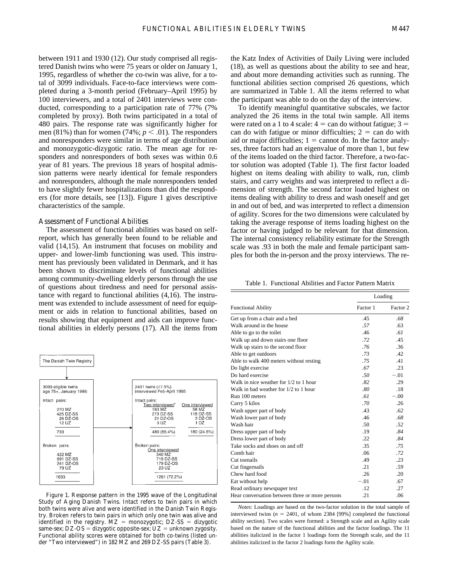between 1911 and 1930 (12). Our study comprised all registered Danish twins who were 75 years or older on January 1, 1995, regardless of whether the co-twin was alive, for a total of 3099 individuals. Face-to-face interviews were completed during a 3-month period (February–April 1995) by 100 interviewers, and a total of 2401 interviews were conducted, corresponding to a participation rate of 77% (7% completed by proxy). Both twins participated in a total of 480 pairs. The response rate was significantly higher for men (81%) than for women (74%;  $p < .01$ ). The responders and nonresponders were similar in terms of age distribution and monozygotic-dizygotic ratio. The mean age for responders and nonresponders of both sexes was within 0.6 year of 81 years. The previous 18 years of hospital admission patterns were nearly identical for female responders and nonresponders, although the male nonresponders tended to have slightly fewer hospitalizations than did the responders (for more details, see [13]). Figure 1 gives descriptive characteristics of the sample.

### *Assessment of Functional Abilities*

The assessment of functional abilities was based on selfreport, which has generally been found to be reliable and valid (14,15). An instrument that focuses on mobility and upper- and lower-limb functioning was used. This instrument has previously been validated in Denmark, and it has been shown to discriminate levels of functional abilities among community-dwelling elderly persons through the use of questions about tiredness and need for personal assistance with regard to functional abilities (4,16). The instrument was extended to include assessment of need for equipment or aids in relation to functional abilities, based on results showing that equipment and aids can improve functional abilities in elderly persons (17). All the items from



Figure 1. Response pattern in the 1995 wave of the Longitudinal Study of Aging Danish Twins. Intact refers to twin pairs in which both twins were alive and were identified in the Danish Twin Registry. Broken refers to twin pairs in which only one twin was alive and identified in the registry.  $MZ = monozygotic$ ;  $DZ-SS = dizygotic$ same-sex;  $DZ$ -OS = dizygotic opposite-sex;  $UZ$  = unknown zygosity. Functional ability scores were obtained for both co-twins (listed under "Two interviewed") in 182 MZ and 269 DZ-SS pairs (Table 3).

the Katz Index of Activities of Daily Living were included (18), as well as questions about the ability to see and hear, and about more demanding activities such as running. The functional abilities section comprised 26 questions, which are summarized in Table 1. All the items referred to what the participant was able to do on the day of the interview.

To identify meaningful quantitative subscales, we factor analyzed the 26 items in the total twin sample. All items were rated on a 1 to 4 scale:  $4 = \text{can do without fatigue}$ ;  $3 =$ can do with fatigue or minor difficulties;  $2 = \text{can do with}$ aid or major difficulties;  $1 =$  cannot do. In the factor analyses, three factors had an eigenvalue of more than 1, but few of the items loaded on the third factor. Therefore, a two-factor solution was adopted (Table 1). The first factor loaded highest on items dealing with ability to walk, run, climb stairs, and carry weights and was interpreted to reflect a dimension of strength. The second factor loaded highest on items dealing with ability to dress and wash oneself and get in and out of bed, and was interpreted to reflect a dimension of agility. Scores for the two dimensions were calculated by taking the average response of items loading highest on the factor or having judged to be relevant for that dimension. The internal consistency reliability estimate for the Strength scale was .93 in both the male and female participant samples for both the in-person and the proxy interviews. The re-

Table 1. Functional Abilities and Factor Pattern Matrix

|                                                 |          | Loading  |
|-------------------------------------------------|----------|----------|
| <b>Functional Ability</b>                       | Factor 1 | Factor 2 |
| Get up from a chair and a bed                   | .45      | .68      |
| Walk around in the house                        | .57      | .63      |
| Able to go to the toilet                        | .46      | .61      |
| Walk up and down stairs one floor               | .72      | .45      |
| Walk up stairs to the second floor              | .76      | .36      |
| Able to get outdoors                            | .73      | .42      |
| Able to walk 400 meters without resting         | 75       | 41       |
| Do light exercise                               | .67      | .23      |
| Do hard exercise                                | .50      | $-.01$   |
| Walk in nice weather for 1/2 to 1 hour          | .82      | .29      |
| Walk in bad weather for 1/2 to 1 hour           | .80      | .18      |
| Run 100 meters                                  | .61      | $-.00$   |
| Carry 5 kilos                                   | .70      | .26      |
| Wash upper part of body                         | .43      | .62      |
| Wash lower part of body                         | .46      | .68      |
| Wash hair                                       | .50      | .52      |
| Dress upper part of body                        | .19      | .84      |
| Dress lower part of body                        | .22      | .84      |
| Take socks and shoes on and off                 | .35      | .75      |
| Comb hair                                       | .06      | .72      |
| Cut toenails                                    | .49      | .23      |
| Cut fingernails                                 | .21      | .59      |
| Chew hard food                                  | .26      | .20      |
| Eat without help                                | $-.01$   | .67      |
| Read ordinary newspaper text                    | .12      | .27      |
| Hear conversation between three or more persons | .21      | .06      |

*Notes*: Loadings are based on the two-factor solution in the total sample of interviewed twins  $(n = 2401, \text{ of whom } 2384$  [99%] completed the functional ability section). Two scales were formed: a Strength scale and an Agility scale based on the nature of the functional abilities and the factor loadings. The 11 abilities italicized in the factor 1 loadings form the Strength scale, and the 11 abilities italicized in the factor 2 loadings form the Agility scale.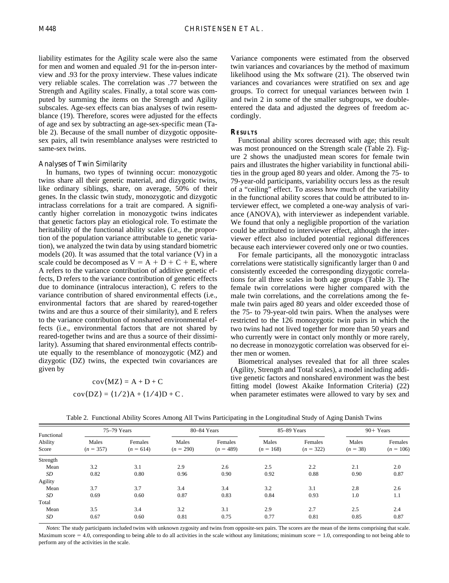liability estimates for the Agility scale were also the same for men and women and equaled .91 for the in-person interview and .93 for the proxy interview. These values indicate very reliable scales. The correlation was .77 between the Strength and Agility scales. Finally, a total score was computed by summing the items on the Strength and Agility subscales. Age-sex effects can bias analyses of twin resemblance (19). Therefore, scores were adjusted for the effects of age and sex by subtracting an age-sex-specific mean (Table 2). Because of the small number of dizygotic oppositesex pairs, all twin resemblance analyses were restricted to same-sex twins.

### *Analyses of Twin Similarity*

In humans, two types of twinning occur: monozygotic twins share all their genetic material, and dizygotic twins, like ordinary siblings, share, on average, 50% of their genes. In the classic twin study, monozygotic and dizygotic intraclass correlations for a trait are compared. A significantly higher correlation in monozygotic twins indicates that genetic factors play an etiological role. To estimate the heritability of the functional ability scales (i.e., the proportion of the population variance attributable to genetic variation), we analyzed the twin data by using standard biometric models (20). It was assumed that the total variance (V) in a scale could be decomposed as  $V = A + D + C + E$ , where A refers to the variance contribution of additive genetic effects, D refers to the variance contribution of genetic effects due to dominance (intralocus interaction), C refers to the variance contribution of shared environmental effects (i.e., environmental factors that are shared by reared-together twins and are thus a source of their similarity), and E refers to the variance contribution of nonshared environmental effects (i.e., environmental factors that are not shared by reared-together twins and are thus a source of their dissimilarity). Assuming that shared environmental effects contribute equally to the resemblance of monozygotic (MZ) and dizygotic (DZ) twins, the expected twin covariances are given by

$$
cov(MZ) = A + D + C
$$

$$
cov(DZ) = (1/2)A + (1/4)D + C
$$

Variance components were estimated from the observed twin variances and covariances by the method of maximum likelihood using the Mx software (21). The observed twin variances and covariances were stratified on sex and age groups. To correct for unequal variances between twin 1 and twin 2 in some of the smaller subgroups, we doubleentered the data and adjusted the degrees of freedom accordingly.

### **RESULTS**

Functional ability scores decreased with age; this result was most pronounced on the Strength scale (Table 2). Figure 2 shows the unadjusted mean scores for female twin pairs and illustrates the higher variability in functional abilities in the group aged 80 years and older. Among the 75- to 79-year-old participants, variability occurs less as the result of a "ceiling" effect. To assess how much of the variability in the functional ability scores that could be attributed to interviewer effect, we completed a one-way analysis of variance (ANOVA), with interviewer as independent variable. We found that only a negligible proportion of the variation could be attributed to interviewer effect, although the interviewer effect also included potential regional differences because each interviewer covered only one or two counties.

For female participants, all the monozygotic intraclass correlations were statistically significantly larger than 0 and consistently exceeded the corresponding dizygotic correlations for all three scales in both age groups (Table 3). The female twin correlations were higher compared with the male twin correlations, and the correlations among the female twin pairs aged 80 years and older exceeded those of the 75- to 79-year-old twin pairs. When the analyses were restricted to the 126 monozygotic twin pairs in which the two twins had not lived together for more than 50 years and who currently were in contact only monthly or more rarely, no decrease in monozygotic correlation was observed for either men or women.

Biometrical analyses revealed that for all three scales (Agility, Strength and Total scales), a model including additive genetic factors and nonshared environment was the best fitting model (lowest Akaike Information Criteria) (22) when parameter estimates were allowed to vary by sex and

| Functional<br>Ability<br>Score |                      | 75-79 Years            |                      | 80-84 Years            |                      | 85-89 Years            | $90+$ Years         |                        |
|--------------------------------|----------------------|------------------------|----------------------|------------------------|----------------------|------------------------|---------------------|------------------------|
|                                | Males<br>$(n = 357)$ | Females<br>$(n = 614)$ | Males<br>$(n = 290)$ | Females<br>$(n = 489)$ | Males<br>$(n = 168)$ | Females<br>$(n = 322)$ | Males<br>$(n = 38)$ | Females<br>$(n = 106)$ |
| Strength                       |                      |                        |                      |                        |                      |                        |                     |                        |
| Mean                           | 3.2                  | 3.1                    | 2.9                  | 2.6                    | 2.5                  | 2.2                    | 2.1                 | 2.0                    |
| <b>SD</b>                      | 0.82                 | 0.80                   | 0.96                 | 0.90                   | 0.92                 | 0.88                   | 0.90                | 0.87                   |
| Agility                        |                      |                        |                      |                        |                      |                        |                     |                        |
| Mean                           | 3.7                  | 3.7                    | 3.4                  | 3.4                    | 3.2                  | 3.1                    | 2.8                 | 2.6                    |
| SD                             | 0.69                 | 0.60                   | 0.87                 | 0.83                   | 0.84                 | 0.93                   | 1.0                 | 1.1                    |
| Total                          |                      |                        |                      |                        |                      |                        |                     |                        |
| Mean                           | 3.5                  | 3.4                    | 3.2                  | 3.1                    | 2.9                  | 2.7                    | 2.5                 | 2.4                    |
| SD                             | 0.67                 | 0.60                   | 0.81                 | 0.75                   | 0.77                 | 0.81                   | 0.85                | 0.87                   |

Table 2. Functional Ability Scores Among All Twins Participating in the Longitudinal Study of Aging Danish Twins

.

*Notes*: The study participants included twins with unknown zygosity and twins from opposite-sex pairs. The scores are the mean of the items comprising that scale. Maximum score = 4.0, corresponding to being able to do all activities in the scale without any limitations; minimum score = 1.0, corresponding to not being able to perform any of the activities in the scale.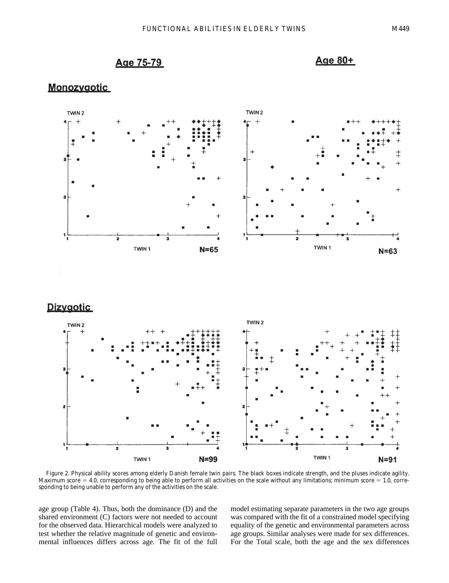# Age 75-79



# **Monozvaotic**



Figure 2. Physical ability scores among elderly Danish female twin pairs. The black boxes indicate strength, and the pluses indicate agility. Maximum score  $= 4.0$ , corresponding to being able to perform all activities on the scale without any limitations; minimum score  $= 1.0$ , corresponding to being unable to perform any of the activities on the scale.

age group (Table 4). Thus, both the dominance (D) and the shared environment (C) factors were not needed to account for the observed data. Hierarchical models were analyzed to test whether the relative magnitude of genetic and environmental influences differs across age. The fit of the full model estimating separate parameters in the two age groups was compared with the fit of a constrained model specifying equality of the genetic and environmental parameters across age groups. Similar analyses were made for sex differences. For the Total scale, both the age and the sex differences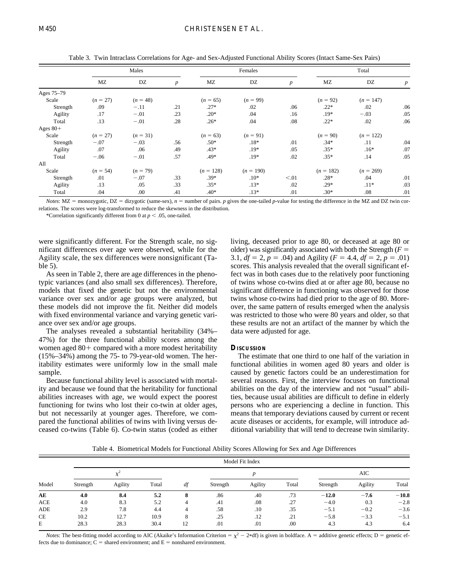|            |            | Males      |                  |             | Females     | Total            |             |             |                  |
|------------|------------|------------|------------------|-------------|-------------|------------------|-------------|-------------|------------------|
|            | MZ         | DZ         | $\boldsymbol{p}$ | MZ          | DZ          | $\boldsymbol{p}$ | MZ          | DZ          | $\boldsymbol{p}$ |
| Ages 75-79 |            |            |                  |             |             |                  |             |             |                  |
| Scale      | $(n = 27)$ | $(n = 48)$ |                  | $(n = 65)$  | $(n = 99)$  |                  | $(n = 92)$  | $(n = 147)$ |                  |
| Strength   | .09        | $-.11$     | .21              | $.27*$      | .02         | .06              | $.22*$      | .02         | .06              |
| Agility    | .17        | $-.01$     | .23              | $.20*$      | .04         | .16              | $.19*$      | $-.03$      | .05              |
| Total      | .13        | $-.01$     | .28              | $.26*$      | .04         | .08              | $.22*$      | .02         | .06              |
| Ages $80+$ |            |            |                  |             |             |                  |             |             |                  |
| Scale      | $(n = 27)$ | $(n = 31)$ |                  | $(n = 63)$  | $(n = 91)$  |                  | $(n = 90)$  | $(n = 122)$ |                  |
| Strength   | $-.07$     | $-.03$     | .56              | $.50*$      | $.18*$      | .01              | $.34*$      | .11         | .04              |
| Agility    | .07        | .06        | .49              | $.43*$      | $.19*$      | .05              | $.35*$      | $.16*$      | .07              |
| Total      | $-.06$     | $-.01$     | .57              | .49*        | $.19*$      | .02              | $.35*$      | .14         | .05              |
| All        |            |            |                  |             |             |                  |             |             |                  |
| Scale      | $(n = 54)$ | $(n = 79)$ |                  | $(n = 128)$ | $(n = 190)$ |                  | $(n = 182)$ | $(n = 269)$ |                  |
| Strength   | .01        | $-.07$     | .33              | $.39*$      | $.10*$      | < 0.01           | $.28*$      | .04         | .01              |
| Agility    | .13        | .05        | .33              | $.35*$      | $.13*$      | .02              | $.29*$      | $.11*$      | .03              |
| Total      | .04        | .00        | .41              | $.40*$      | $.13*$      | .01              | $.30*$      | .08         | .01              |

Table 3. Twin Intraclass Correlations for Age- and Sex-Adjusted Functional Ability Scores (Intact Same-Sex Pairs)

*Notes*:  $MZ =$  monozygotic,  $DZ =$  dizygotic (same-sex),  $n =$  number of pairs. *p* gives the one-tailed *p*-value for testing the difference in the MZ and DZ twin correlations. The scores were log-transformed to reduce the skewness in the distribution.

\*Correlation significantly different from 0 at  $p < .05$ , one-tailed.

were significantly different. For the Strength scale, no significant differences over age were observed, while for the Agility scale, the sex differences were nonsignificant (Table 5).

As seen in Table 2, there are age differences in the phenotypic variances (and also small sex differences). Therefore, models that fixed the genetic but not the environmental variance over sex and/or age groups were analyzed, but these models did not improve the fit. Neither did models with fixed environmental variance and varying genetic variance over sex and/or age groups.

The analyses revealed a substantial heritability (34%– 47%) for the three functional ability scores among the women aged  $80+$  compared with a more modest heritability (15%–34%) among the 75- to 79-year-old women. The heritability estimates were uniformly low in the small male sample.

Because functional ability level is associated with mortality and because we found that the heritability for functional abilities increases with age, we would expect the poorest functioning for twins who lost their co-twin at older ages, but not necessarily at younger ages. Therefore, we compared the functional abilities of twins with living versus deceased co-twins (Table 6). Co-twin status (coded as either living, deceased prior to age 80, or deceased at age 80 or older) was significantly associated with both the Strength  $(F =$ 3.1,  $df = 2$ ,  $p = .04$ ) and Agility ( $F = 4.4$ ,  $df = 2$ ,  $p = .01$ ) scores. This analysis revealed that the overall significant effect was in both cases due to the relatively poor functioning of twins whose co-twins died at or after age 80, because no significant difference in functioning was observed for those twins whose co-twins had died prior to the age of 80. Moreover, the same pattern of results emerged when the analysis was restricted to those who were 80 years and older, so that these results are not an artifact of the manner by which the data were adjusted for age.

### **DISCUSSION**

The estimate that one third to one half of the variation in functional abilities in women aged 80 years and older is caused by genetic factors could be an underestimation for several reasons. First, the interview focuses on functional abilities on the day of the interview and not "usual" abilities, because usual abilities are difficult to define in elderly persons who are experiencing a decline in function. This means that temporary deviations caused by current or recent acute diseases or accidents, for example, will introduce additional variability that will tend to decrease twin similarity.

Table 4. Biometrical Models for Functional Ability Scores Allowing for Sex and Age Differences

| Model      |          |         |       |    |          | Model Fit Index |       |          |         |         |  |
|------------|----------|---------|-------|----|----------|-----------------|-------|----------|---------|---------|--|
|            |          |         |       |    |          |                 |       | AIC      |         |         |  |
|            | Strength | Agility | Total | df | Strength | Agility         | Total | Strength | Agility | Total   |  |
| AE         | 4.0      | 8.4     | 5.2   | 8  | .86      | .40             | .73   | $-12.0$  | $-7.6$  | $-10.8$ |  |
| <b>ACE</b> | 4.0      | 8.3     | 5.2   | 4  | .41      | .08             | .27   | $-4.0$   | 0.3     | $-2.8$  |  |
| ADE        | 2.9      | 7.8     | 4.4   | 4  | .58      | .10             | .35   | $-5.1$   | $-0.2$  | $-3.6$  |  |
| <b>CE</b>  | 10.2     | 12.7    | 10.9  |    | .25      | .12             | .21   | $-5.8$   | $-3.3$  | $-5.1$  |  |
| Е          | 28.3     | 28.3    | 30.4  | 12 | .01      | .01             | .00   | 4.3      | 4.3     | 6.4     |  |

*Notes*: The best-fitting model according to AIC (Akaike's Information Criterion =  $\chi^2$  - 2\*df) is given in boldface. A = additive genetic effects; D = genetic effects due to dominance;  $C =$  shared environment; and  $E =$  nonshared environment.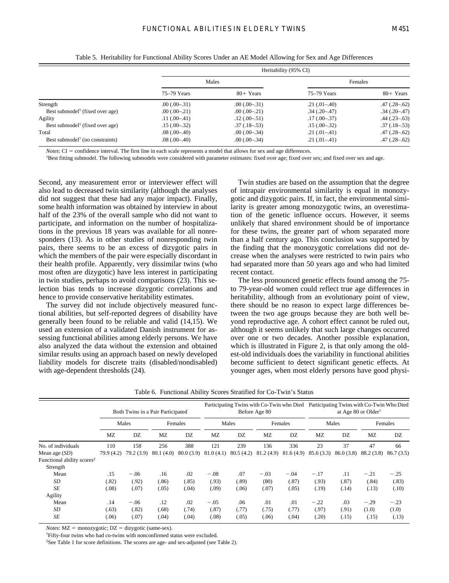|                                             |                |                | Heritability (95% CI) |                     |
|---------------------------------------------|----------------|----------------|-----------------------|---------------------|
|                                             |                | Males          |                       | Females             |
|                                             | 75–79 Years    | $80+$ Years    | 75-79 Years           | $80+$ Years         |
| Strength                                    | $.00(.00-.31)$ | $.00(.00-.31)$ | $.21(.01-.40)$        | $.47(.28-.62)$      |
| Best submodel <sup>†</sup> (fixed over age) | $.00(.00-.21)$ | $.00(.00-.21)$ | $.34(.20-.47)$        | $.34(.20-.47)$      |
| Agility                                     | $.11(.00-.41)$ | $.12(.00-.51)$ | $.17(.00-.37)$        | $.44$ $(.23 - .63)$ |
| Best submodel <sup>†</sup> (fixed over age) | $.15(.00-.32)$ | $.37(.18-.53)$ | $.15(.00-.32)$        | $.37(.18-.53)$      |
| Total                                       | $.08(.00-.40)$ | $.00(.00-.34)$ | $.21(.01-.41)$        | $.47(.28-.62)$      |
| Best submodel <sup>†</sup> (no constraints) | $.08(.00-.40)$ | $.00(.00-.34)$ | $.21(.01-.41)$        | $.47(.28-.62)$      |

Table 5. Heritability for Functional Ability Scores Under an AE Model Allowing for Sex and Age Differences

*Notes*: CI = confidence interval. The first line in each scale represents a model that allows for sex and age differences.

†Best fitting submodel. The following submodels were considered with parameter estimates: fixed over age; fixed over sex; and fixed over sex and age.

Second, any measurement error or interviewer effect will also lead to decreased twin similarity (although the analyses did not suggest that these had any major impact). Finally, some health information was obtained by interview in about half of the 23% of the overall sample who did not want to participate, and information on the number of hospitalizations in the previous 18 years was available for all nonresponders (13). As in other studies of nonresponding twin pairs, there seems to be an excess of dizygotic pairs in which the members of the pair were especially discordant in their health profile. Apparently, very dissimilar twins (who most often are dizygotic) have less interest in participating in twin studies, perhaps to avoid comparisons (23). This selection bias tends to increase dizygotic correlations and hence to provide conservative heritability estimates.

The survey did not include objectively measured functional abilities, but self-reported degrees of disability have generally been found to be reliable and valid (14,15). We used an extension of a validated Danish instrument for assessing functional abilities among elderly persons. We have also analyzed the data without the extension and obtained similar results using an approach based on newly developed liability models for discrete traits (disabled/nondisabled) with age-dependent thresholds (24).

Twin studies are based on the assumption that the degree of intrapair environmental similarity is equal in monozygotic and dizygotic pairs. If, in fact, the environmental similarity is greater among monozygotic twins, an overestimation of the genetic influence occurs. However, it seems unlikely that shared environment should be of importance for these twins, the greater part of whom separated more than a half century ago. This conclusion was supported by the finding that the monozygotic correlations did not decrease when the analyses were restricted to twin pairs who had separated more than 50 years ago and who had limited recent contact.

The less pronounced genetic effects found among the 75 to 79-year-old women could reflect true age differences in heritability, although from an evolutionary point of view, there should be no reason to expect large differences between the two age groups because they are both well beyond reproductive age. A cohort effect cannot be ruled out, although it seems unlikely that such large changes occurred over one or two decades. Another possible explanation, which is illustrated in Figure 2, is that only among the oldest-old individuals does the variability in functional abilities become sufficient to detect significant genetic effects. At younger ages, when most elderly persons have good physi-

|                                        | Both Twins in a Pair Participated |           |           |           | Participating Twins with Co-Twin who Died<br>Before Age 80 |           |         |                         | Participating Twins with Co-Twin Who Died<br>at Age 80 or Older <sup>†</sup> |           |            |           |
|----------------------------------------|-----------------------------------|-----------|-----------|-----------|------------------------------------------------------------|-----------|---------|-------------------------|------------------------------------------------------------------------------|-----------|------------|-----------|
|                                        | Males                             |           | Females   |           | Males                                                      |           | Females |                         | Males                                                                        |           | Females    |           |
|                                        | MZ                                | DZ        | <b>MZ</b> | DZ        | <b>MZ</b>                                                  | DZ        | MZ      | DZ                      | MZ                                                                           | DZ        | <b>MZ</b>  | DZ        |
| No. of individuals                     | 110                               | 158       | 256       | 388       | 121                                                        | 239       | 136     | 336                     | 23                                                                           | 37        | 47         | 66        |
| Mean age $(SD)$                        | 79.9 (4.2)                        | 79.2(3.9) | 80.1(4.0) | 80.0(3.9) | 81.0(4.1)                                                  | 80.5(4.2) |         | $81.2(4.9)$ $81.6(4.9)$ | 85.6(3.3)                                                                    | 86.0(3.8) | 88.2 (3.8) | 86.7(3.5) |
| Functional ability scores <sup>‡</sup> |                                   |           |           |           |                                                            |           |         |                         |                                                                              |           |            |           |
| Strength                               |                                   |           |           |           |                                                            |           |         |                         |                                                                              |           |            |           |
| Mean                                   | .15                               | $-.06$    | .16       | .02       | $-.08$                                                     | .07       | $-.03$  | $-.04$                  | $-.17$                                                                       | .11       | $-.21$     | $-.25$    |
| SD                                     | (.82)                             | (.92)     | (.86)     | (.85)     | (.93)                                                      | (.89)     | (80)    | (.87)                   | (.93)                                                                        | (.87)     | (.84)      | (.83)     |
| <b>SE</b>                              | (.08)                             | (.07)     | (.05)     | (.04)     | (.09)                                                      | (.06)     | (.07)   | (.05)                   | (.19)                                                                        | (.14)     | (.13)      | (.10)     |
| Agility                                |                                   |           |           |           |                                                            |           |         |                         |                                                                              |           |            |           |
| Mean                                   | .14                               | $-.06$    | .12       | .02       | $-.05$                                                     | .06       | .01     | .01                     | $-.22$                                                                       | .03       | $-.29$     | $-.23$    |
| SD                                     | (.63)                             | (.82)     | (.68)     | (.74)     | (.87)                                                      | (.77)     | (.75)   | (.77)                   | (.97)                                                                        | (.91)     | (1.0)      | (1.0)     |
| SE                                     | (.06)                             | (.07)     | (.04)     | (.04)     | (.08)                                                      | (.05)     | (.06)   | (.04)                   | (.20)                                                                        | (.15)     | (.15)      | (.13)     |

Table 6. Functional Ability Scores Stratified for Co-Twin's Status

 $$ 

†Fifty-four twins who had co-twins with nonconfirmed status were excluded.

‡See Table 1 for score definitions. The scores are age- and sex-adjusted (see Table 2).